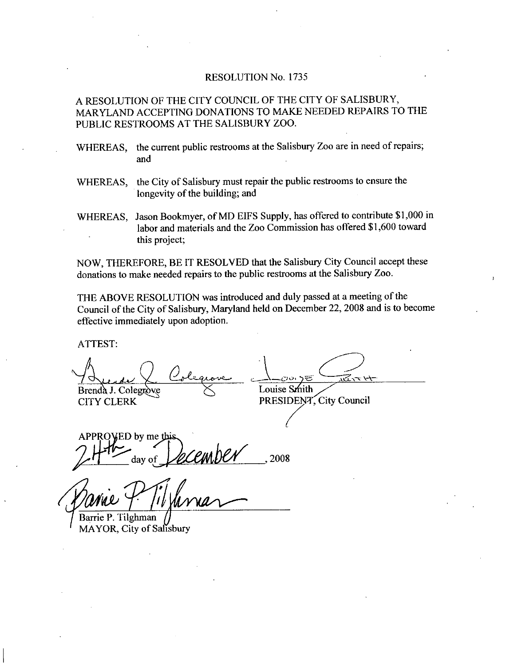### RESOLUTION No. 1735

## A RESOLUTION OF THE CITY COUNCIL OF THE CITY OF SALISBURY MARYLAND ACCEPTING DONATIONS TO MAKE NEEDED REPAIRS TO THE PUBLIC RESTROOMS AT THE SALISBURY ZOO

- WHEREAS, the current public restrooms at the Salisbury Zoo are in need of repairs; and
- WHEREAS, the City of Salisbury must repair the public restrooms to ensure the longevity of the building; and
- WHEREAS, the City of Salisbury must repair the public restrooms to ensure the<br>longevity of the building; and<br>WHEREAS, Jason Bookmyer, of MD EIFS Supply, has offered to contribute \$1,000 in<br>labor and materials and the Zoo C longevity of the building; and<br>Jason Bookmyer, of MD EIFS Supply, has offered to contribute \$1,000<br>labor and materials and the Zoo Commission has offered \$1,600 toward<br>this project: this project

NOW, THEREFORE, BE IT RESOLVED that the Salisbury City Council accept these donations to make needed repairs to the public restrooms at the Salisbury Zoo

THE ABOVE RESOLUTION was introduced and duly passed at ameeting of the Council of the City of Salisbury, Maryland held on December 22, 2008 and is to become effective immediately upon adoption

ATTEST

bookmyer, of MD E<br>d materials and the<br>iect;<br>BE IT RESOLVE<br>ded repairs to the p<br>UTION was introck<br>Salisbury, Maryla<br>upon adoption.<br> $Q_{\text{ge-}lexgence}$ Brenda J. Colegrove Brenda J. Colegrove  $\sum$  Louise Smith<br>CITY CLERK PRESIDENT

PRESIDENT, City Council

APPROVED by me day of  $\mathcal{U}\mathcal{L}\mathcal{C}\mathcal{U}\mathcal{U}\mathcal{U}\mathcal{U}$  . 2008

*A* Mile P.<br>Panie P.<br>Barrie P. Tilghman

MAYOR, City of Salisbury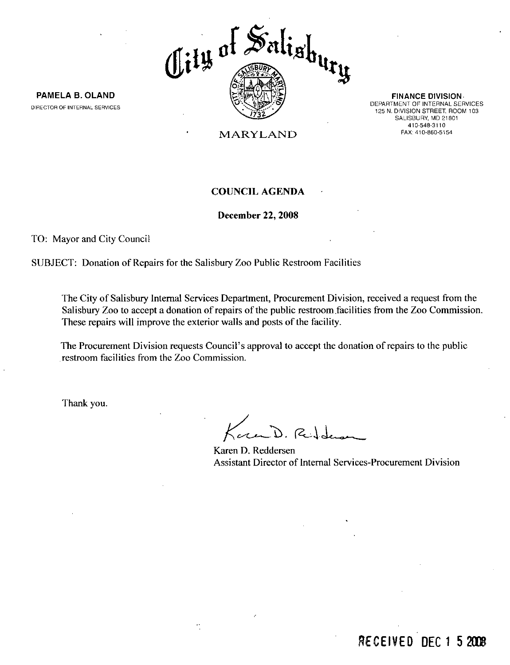

PAMELA B. OLAND DIRECTOR OF INTERNAL SERVICES

FINANCE DIVISION DEPARTMENT OF INTERNAL SERVICES 125 N. DIVISION STREET, ROOM 103 DIVISION STREET, RC<br>SALISBURY, MD 2180<br>410-548-3110<br>EAX: 419-860-5154 410-548-3110<br>FAX: 410-860-5154

MARYLAND

## COUNCIL AGENDA

December 22, 2008

TO: Mayor and City Council

SUBJECT: Donation of Repairs for the Salisbury Zoo Public Restroom Facilities

The City of Salisbury Internal Services Department, Procurement Division, received a request from the Salisbury Zoo to accept a donation of repairs of the public restroom facilities from the Zoo Commission. These repairs will improve the exterior walls and posts of the facility. The City of Salisbury Internal Services Depart<br>Salisbury Zoo to accept a donation of repairs of<br>These repairs will improve the exterior walls as<br>The Procurement Division requests Council's a<br>restroom facilities from the Zo

The Procurement Division requests Council's approval to accept the donation of repairs to the public restroom facilities from the Zoo Commission

Thank you.

Kound. Redder

Karen D. Reddersen Assistant Director of Internal Services-Procurement Division

## RECEIVED DFC 1 5 2008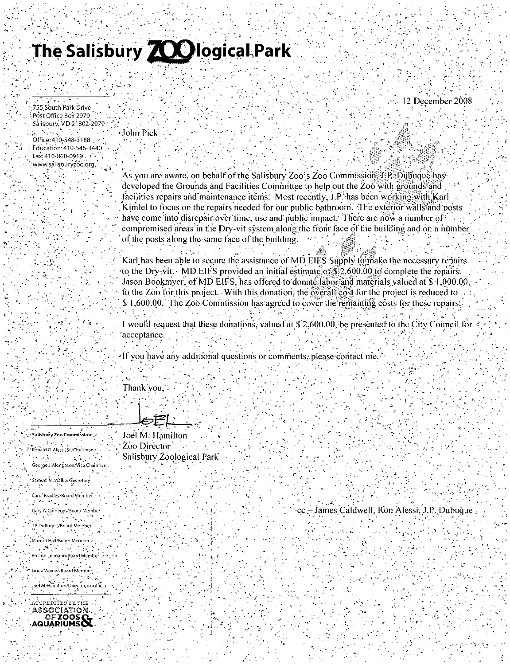# The Salisbury **700** logical Park

12 December 2008

755 South Park Drive Post Office Box 2979 Salisbury, MD 21802-2979

Office: 410-548-3188 Education: 410-546-3440 Fax: 410-860-0919 . www.salisburyzoo.org.

John Pick

As you are aware, on behalf of the Salisbury Zoo's Zoo Commission, J.P., Dubuque has developed the Grounds and Facilities Committee to help out the Zoo with grounds and facilities repairs and maintenance items. Most recently, J.P. has been working with Karl Kimlel to focus on the repairs needed for our public bathroom. The exterior walls and posts have come into disrepair over time, use and public impact. There are now a number of compromised areas in the Dry-vit system along the front face of the building and on a number of the posts along the same face of the building.

Karl has been able to secure the assistance of MD EIFS Supply to make the necessary repairs to the Dry-vit. MD EIFS provided an initial estimate of \$2,600.00 to complete the repairs. Jason Bookmyer, of MD EIFS, has offered to donate labor and materials valued at \$ 1,000.00 to the Zoo for this project. With this donation, the overall cost for the project is reduced to  $\$$  1,600.00. The Zoo Commission has agreed to cover the remaining costs for these repairs.

I would request that these donations, valued at \$2,600.00, be presented to the City Council for acceptance.

If you have any additional questions or comments, please contact me

Thank'you,

Salisbury Zoo Commission: Ronald G. Alessi, Sr./Chairmani A 医内耳面的 George J. Mengason/Vice Chairman

Samuel M. Walker/Secretary Carol Bradley/Board Member  $\mathcal{O}(\frac{1}{2} \log n)$ Gary A. Comegys/Board Member .<br>J.P. DuBuque/Board Member

Margot Hall/Board Member  $\mathcal{L} = \mathcal{L}$ Roland Leimann/Board Member

Linda Wainer/Board Member Joel M. Hamilton/Director, ex-officio

CCREDITED BY THE ASSOCIATION **ZOOS AQUARIUMS**  Joel M: Hamilton Zoo Director Salisbury Zoological Park

cc – James Caldwell, Ron Alessi, J.P., Dubuque